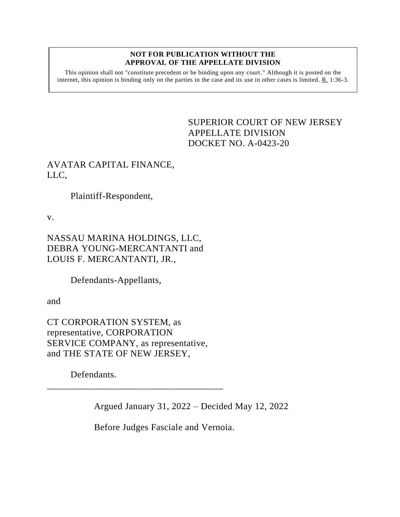#### **NOT FOR PUBLICATION WITHOUT THE APPROVAL OF THE APPELLATE DIVISION**

This opinion shall not "constitute precedent or be binding upon any court." Although it is posted on the internet, this opinion is binding only on the parties in the case and its use in other cases is limited. R. 1:36-3.

## <span id="page-0-0"></span>SUPERIOR COURT OF NEW JERSEY APPELLATE DIVISION DOCKET NO. A-0423-20

# AVATAR CAPITAL FINANCE, LLC,

Plaintiff-Respondent,

v.

NASSAU MARINA HOLDINGS, LLC, DEBRA YOUNG-MERCANTANTI and LOUIS F. MERCANTANTI, JR.,

Defendants-Appellants,

and

CT CORPORATION SYSTEM, as representative, CORPORATION SERVICE COMPANY, as representative, and THE STATE OF NEW JERSEY,

\_\_\_\_\_\_\_\_\_\_\_\_\_\_\_\_\_\_\_\_\_\_\_\_\_\_\_\_\_\_\_\_\_\_\_\_\_

Defendants.

Argued January 31, 2022 – Decided May 12, 2022

Before Judges Fasciale and Vernoia.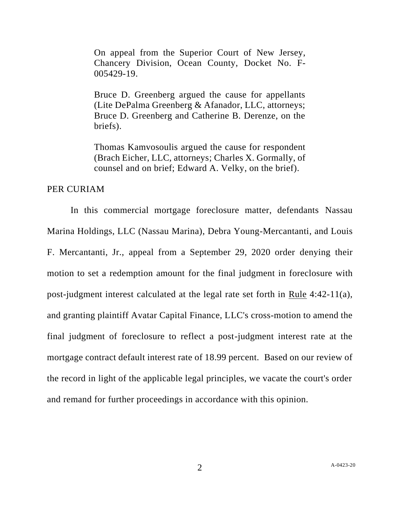On appeal from the Superior Court of New Jersey, Chancery Division, Ocean County, Docket No. F-005429-19.

Bruce D. Greenberg argued the cause for appellants (Lite DePalma Greenberg & Afanador, LLC, attorneys; Bruce D. Greenberg and Catherine B. Derenze, on the briefs).

Thomas Kamvosoulis argued the cause for respondent (Brach Eicher, LLC, attorneys; Charles X. Gormally, of counsel and on brief; Edward A. Velky, on the brief).

### PER CURIAM

In this commercial mortgage foreclosure matter, defendants Nassau Marina Holdings, LLC (Nassau Marina), Debra Young-Mercantanti, and Louis F. Mercantanti, Jr., appeal from a September 29, 2020 order denying their motion to set a redemption amount for the final judgment in foreclosure with post-judgment interest calculated at the legal rate set forth in Rule 4:42-11(a), and granting plaintiff Avatar Capital Finance, LLC's cross-motion to amend the final judgment of foreclosure to reflect a post-judgment interest rate at the mortgage contract default interest rate of 18.99 percent. Based on our review of the record in light of the applicable legal principles, we vacate the court's order and remand for further proceedings in accordance with this opinion.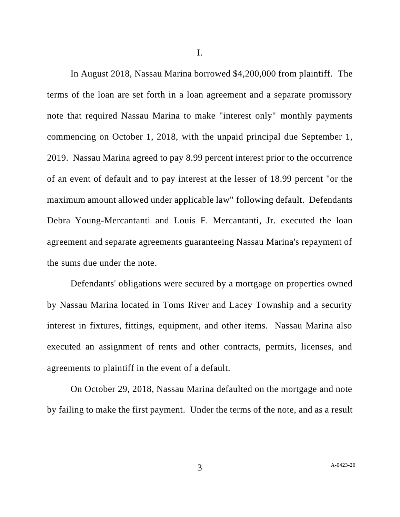I.

In August 2018, Nassau Marina borrowed \$4,200,000 from plaintiff. The terms of the loan are set forth in a loan agreement and a separate promissory note that required Nassau Marina to make "interest only" monthly payments commencing on October 1, 2018, with the unpaid principal due September 1, 2019. Nassau Marina agreed to pay 8.99 percent interest prior to the occurrence of an event of default and to pay interest at the lesser of 18.99 percent "or the maximum amount allowed under applicable law" following default. Defendants Debra Young-Mercantanti and Louis F. Mercantanti, Jr. executed the loan agreement and separate agreements guaranteeing Nassau Marina's repayment of the sums due under the note.

Defendants' obligations were secured by a mortgage on properties owned by Nassau Marina located in Toms River and Lacey Township and a security interest in fixtures, fittings, equipment, and other items. Nassau Marina also executed an assignment of rents and other contracts, permits, licenses, and agreements to plaintiff in the event of a default.

On October 29, 2018, Nassau Marina defaulted on the mortgage and note by failing to make the first payment. Under the terms of the note, and as a result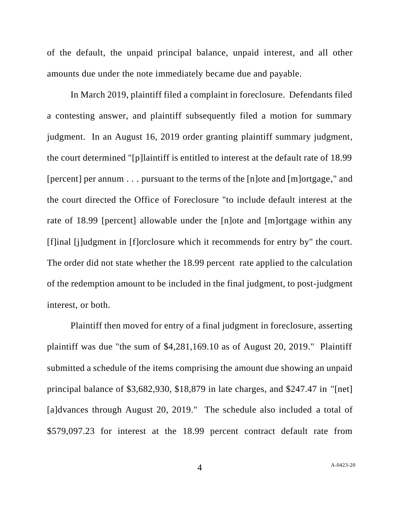of the default, the unpaid principal balance, unpaid interest, and all other amounts due under the note immediately became due and payable.

In March 2019, plaintiff filed a complaint in foreclosure. Defendants filed a contesting answer, and plaintiff subsequently filed a motion for summary judgment. In an August 16, 2019 order granting plaintiff summary judgment, the court determined "[p]laintiff is entitled to interest at the default rate of 18.99 [percent] per annum . . . pursuant to the terms of the [n]ote and [m]ortgage," and the court directed the Office of Foreclosure "to include default interest at the rate of 18.99 [percent] allowable under the [n]ote and [m]ortgage within any [f]inal [j]udgment in [f]orclosure which it recommends for entry by" the court. The order did not state whether the 18.99 percent rate applied to the calculation of the redemption amount to be included in the final judgment, to post-judgment interest, or both.

Plaintiff then moved for entry of a final judgment in foreclosure, asserting plaintiff was due "the sum of \$4,281,169.10 as of August 20, 2019." Plaintiff submitted a schedule of the items comprising the amount due showing an unpaid principal balance of \$3,682,930, \$18,879 in late charges, and \$247.47 in "[net] [a]dvances through August 20, 2019." The schedule also included a total of \$579,097.23 for interest at the 18.99 percent contract default rate from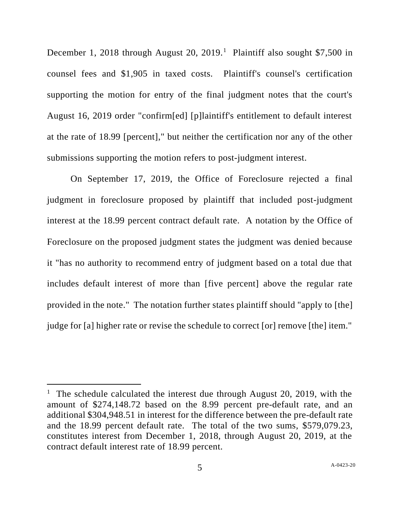December 1, 2018 through August 20, 2019.<sup>1</sup> Plaintiff also sought \$7,500 in counsel fees and \$1,905 in taxed costs. Plaintiff's counsel's certification supporting the motion for entry of the final judgment notes that the court's August 16, 2019 order "confirm[ed] [p]laintiff's entitlement to default interest at the rate of 18.99 [percent]," but neither the certification nor any of the other submissions supporting the motion refers to post-judgment interest.

On September 17, 2019, the Office of Foreclosure rejected a final judgment in foreclosure proposed by plaintiff that included post-judgment interest at the 18.99 percent contract default rate. A notation by the Office of Foreclosure on the proposed judgment states the judgment was denied because it "has no authority to recommend entry of judgment based on a total due that includes default interest of more than [five percent] above the regular rate provided in the note." The notation further states plaintiff should "apply to [the] judge for [a] higher rate or revise the schedule to correct [or] remove [the] item."

<sup>&</sup>lt;sup>1</sup> The schedule calculated the interest due through August 20, 2019, with the amount of \$274,148.72 based on the 8.99 percent pre-default rate, and an additional \$304,948.51 in interest for the difference between the pre-default rate and the 18.99 percent default rate. The total of the two sums, \$579,079.23, constitutes interest from December 1, 2018, through August 20, 2019, at the contract default interest rate of 18.99 percent.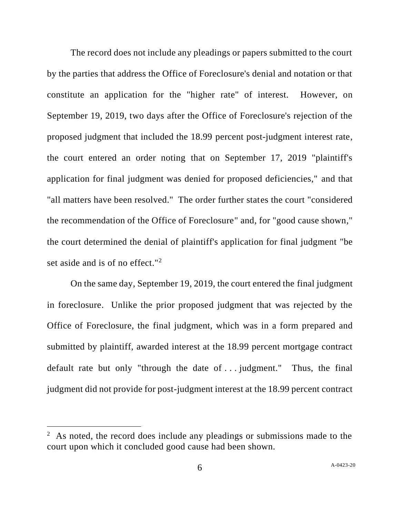The record does not include any pleadings or papers submitted to the court by the parties that address the Office of Foreclosure's denial and notation or that constitute an application for the "higher rate" of interest. However, on September 19, 2019, two days after the Office of Foreclosure's rejection of the proposed judgment that included the 18.99 percent post-judgment interest rate, the court entered an order noting that on September 17, 2019 "plaintiff's application for final judgment was denied for proposed deficiencies," and that "all matters have been resolved." The order further states the court "considered the recommendation of the Office of Foreclosure" and, for "good cause shown," the court determined the denial of plaintiff's application for final judgment "be set aside and is of no effect."<sup>2</sup>

On the same day, September 19, 2019, the court entered the final judgment in foreclosure. Unlike the prior proposed judgment that was rejected by the Office of Foreclosure, the final judgment, which was in a form prepared and submitted by plaintiff, awarded interest at the 18.99 percent mortgage contract default rate but only "through the date of . . . judgment." Thus, the final judgment did not provide for post-judgment interest at the 18.99 percent contract

 $2$  As noted, the record does include any pleadings or submissions made to the court upon which it concluded good cause had been shown.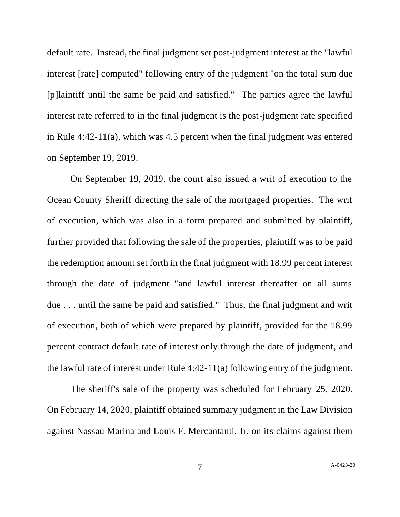default rate. Instead, the final judgment set post-judgment interest at the "lawful interest [rate] computed" following entry of the judgment "on the total sum due [p]laintiff until the same be paid and satisfied." The parties agree the lawful interest rate referred to in the final judgment is the post-judgment rate specified in Rule 4:42-11(a), which was 4.5 percent when the final judgment was entered on September 19, 2019.

On September 19, 2019, the court also issued a writ of execution to the Ocean County Sheriff directing the sale of the mortgaged properties. The writ of execution, which was also in a form prepared and submitted by plaintiff, further provided that following the sale of the properties, plaintiff was to be paid the redemption amount set forth in the final judgment with 18.99 percent interest through the date of judgment "and lawful interest thereafter on all sums due . . . until the same be paid and satisfied." Thus, the final judgment and writ of execution, both of which were prepared by plaintiff, provided for the 18.99 percent contract default rate of interest only through the date of judgment, and the lawful rate of interest under Rule 4:42-11(a) following entry of the judgment.

The sheriff's sale of the property was scheduled for February 25, 2020. On February 14, 2020, plaintiff obtained summary judgment in the Law Division against Nassau Marina and Louis F. Mercantanti, Jr. on its claims against them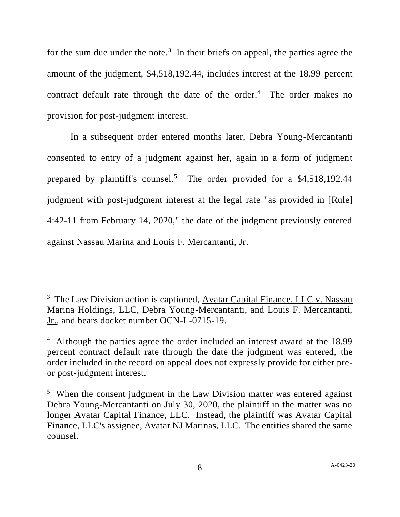for the sum due under the note.<sup>3</sup> In their briefs on appeal, the parties agree the amount of the judgment, \$4,518,192.44, includes interest at the 18.99 percent contract default rate through the date of the order. 4 The order makes no provision for post-judgment interest.

In a subsequent order entered months later, Debra Young-Mercantanti consented to entry of a judgment against her, again in a form of judgment prepared by plaintiff's counsel.<sup>5</sup> The order provided for a \$4,518,192.44 judgment with post-judgment interest at the legal rate "as provided in [Rule] 4:42-11 from February 14, 2020," the date of the judgment previously entered against Nassau Marina and Louis F. Mercantanti, Jr.

<sup>&</sup>lt;sup>3</sup> The Law Division action is captioned, Avatar Capital Finance, LLC v. Nassau Marina Holdings, LLC, Debra Young-Mercantanti, and Louis F. Mercantanti, Jr., and bears docket number OCN-L-0715-19.

<sup>&</sup>lt;sup>4</sup> Although the parties agree the order included an interest award at the 18.99 percent contract default rate through the date the judgment was entered, the order included in the record on appeal does not expressly provide for either preor post-judgment interest.

<sup>&</sup>lt;sup>5</sup> When the consent judgment in the Law Division matter was entered against Debra Young-Mercantanti on July 30, 2020, the plaintiff in the matter was no longer Avatar Capital Finance, LLC. Instead, the plaintiff was Avatar Capital Finance, LLC's assignee, Avatar NJ Marinas, LLC. The entities shared the same counsel.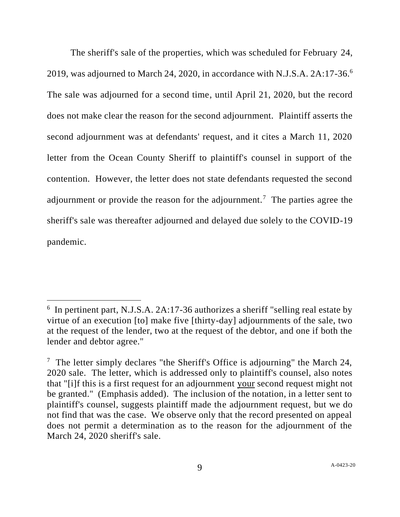The sheriff's sale of the properties, which was scheduled for February 24, 2019, was adjourned to March 24, 2020, in accordance with N.J.S.A.  $2A:17-36.6$ The sale was adjourned for a second time, until April 21, 2020, but the record does not make clear the reason for the second adjournment. Plaintiff asserts the second adjournment was at defendants' request, and it cites a March 11, 2020 letter from the Ocean County Sheriff to plaintiff's counsel in support of the contention. However, the letter does not state defendants requested the second adjournment or provide the reason for the adjournment.<sup>7</sup> The parties agree the sheriff's sale was thereafter adjourned and delayed due solely to the COVID-19 pandemic.

<sup>&</sup>lt;sup>6</sup> In pertinent part, N.J.S.A. 2A:17-36 authorizes a sheriff "selling real estate by virtue of an execution [to] make five [thirty-day] adjournments of the sale, two at the request of the lender, two at the request of the debtor, and one if both the lender and debtor agree."

<sup>&</sup>lt;sup>7</sup> The letter simply declares "the Sheriff's Office is adjourning" the March 24, 2020 sale. The letter, which is addressed only to plaintiff's counsel, also notes that "[i]f this is a first request for an adjournment your second request might not be granted." (Emphasis added). The inclusion of the notation, in a letter sent to plaintiff's counsel, suggests plaintiff made the adjournment request, but we do not find that was the case. We observe only that the record presented on appeal does not permit a determination as to the reason for the adjournment of the March 24, 2020 sheriff's sale.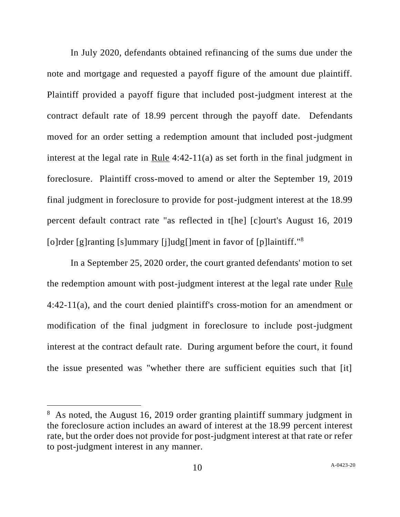In July 2020, defendants obtained refinancing of the sums due under the note and mortgage and requested a payoff figure of the amount due plaintiff. Plaintiff provided a payoff figure that included post-judgment interest at the contract default rate of 18.99 percent through the payoff date. Defendants moved for an order setting a redemption amount that included post-judgment interest at the legal rate in Rule 4:42-11(a) as set forth in the final judgment in foreclosure. Plaintiff cross-moved to amend or alter the September 19, 2019 final judgment in foreclosure to provide for post-judgment interest at the 18.99 percent default contract rate "as reflected in t[he] [c]ourt's August 16, 2019 [o]rder [g]ranting [s]ummary [j]udg[]ment in favor of [p]laintiff."<sup>8</sup>

In a September 25, 2020 order, the court granted defendants' motion to set the redemption amount with post-judgment interest at the legal rate under Rule 4:42-11(a), and the court denied plaintiff's cross-motion for an amendment or modification of the final judgment in foreclosure to include post-judgment interest at the contract default rate. During argument before the court, it found the issue presented was "whether there are sufficient equities such that [it]

<sup>&</sup>lt;sup>8</sup> As noted, the August 16, 2019 order granting plaintiff summary judgment in the foreclosure action includes an award of interest at the 18.99 percent interest rate, but the order does not provide for post-judgment interest at that rate or refer to post-judgment interest in any manner.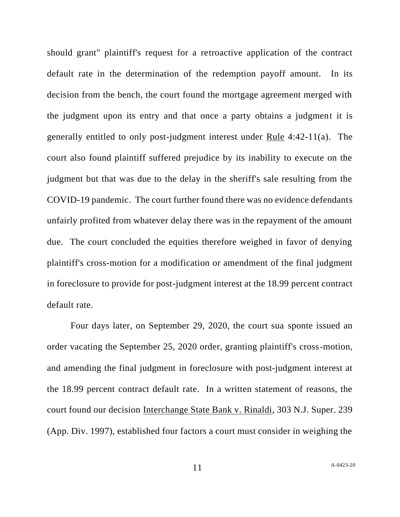should grant" plaintiff's request for a retroactive application of the contract default rate in the determination of the redemption payoff amount. In its decision from the bench, the court found the mortgage agreement merged with the judgment upon its entry and that once a party obtains a judgment it is generally entitled to only post-judgment interest under Rule 4:42-11(a). The court also found plaintiff suffered prejudice by its inability to execute on the judgment but that was due to the delay in the sheriff's sale resulting from the COVID-19 pandemic. The court further found there was no evidence defendants unfairly profited from whatever delay there was in the repayment of the amount due. The court concluded the equities therefore weighed in favor of denying plaintiff's cross-motion for a modification or amendment of the final judgment in foreclosure to provide for post-judgment interest at the 18.99 percent contract default rate.

Four days later, on September 29, 2020, the court sua sponte issued an order vacating the September 25, 2020 order, granting plaintiff's cross-motion, and amending the final judgment in foreclosure with post-judgment interest at the 18.99 percent contract default rate. In a written statement of reasons, the court found our decision Interchange State Bank v. Rinaldi, 303 N.J. Super. 239 (App. Div. 1997), established four factors a court must consider in weighing the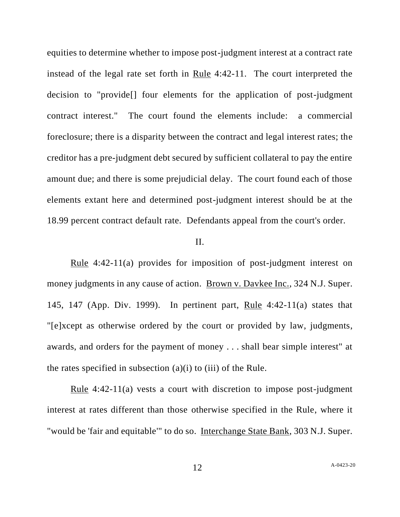equities to determine whether to impose post-judgment interest at a contract rate instead of the legal rate set forth in Rule 4:42-11. The court interpreted the decision to "provide[] four elements for the application of post-judgment contract interest." The court found the elements include: a commercial foreclosure; there is a disparity between the contract and legal interest rates; the creditor has a pre-judgment debt secured by sufficient collateral to pay the entire amount due; and there is some prejudicial delay. The court found each of those elements extant here and determined post-judgment interest should be at the 18.99 percent contract default rate. Defendants appeal from the court's order.

### II.

Rule 4:42-11(a) provides for imposition of post-judgment interest on money judgments in any cause of action. Brown v. Davkee Inc., 324 N.J. Super. 145, 147 (App. Div. 1999). In pertinent part, Rule 4:42-11(a) states that "[e]xcept as otherwise ordered by the court or provided by law, judgments, awards, and orders for the payment of money . . . shall bear simple interest" at the rates specified in subsection  $(a)(i)$  to  $(iii)$  of the Rule.

Rule 4:42-11(a) vests a court with discretion to impose post-judgment interest at rates different than those otherwise specified in the Rule, where it "would be 'fair and equitable'" to do so. Interchange State Bank, 303 N.J. Super.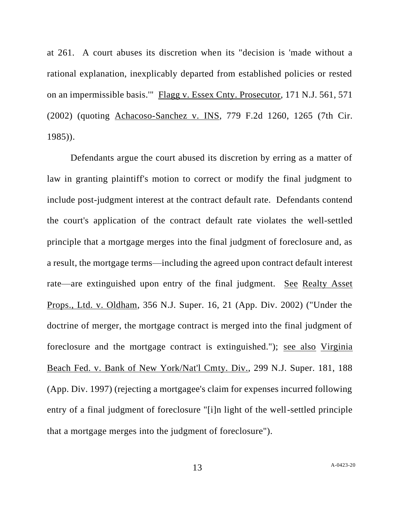at 261. A court abuses its discretion when its "decision is 'made without a rational explanation, inexplicably departed from established policies or rested on an impermissible basis.'" Flagg v. Essex Cnty. Prosecutor, 171 N.J. 561, 571 (2002) (quoting Achacoso-Sanchez v. INS, 779 F.2d 1260, 1265 (7th Cir. 1985)).

Defendants argue the court abused its discretion by erring as a matter of law in granting plaintiff's motion to correct or modify the final judgment to include post-judgment interest at the contract default rate. Defendants contend the court's application of the contract default rate violates the well-settled principle that a mortgage merges into the final judgment of foreclosure and, as a result, the mortgage terms—including the agreed upon contract default interest rate—are extinguished upon entry of the final judgment. See Realty Asset Props., Ltd. v. Oldham, 356 N.J. Super. 16, 21 (App. Div. 2002) ("Under the doctrine of merger, the mortgage contract is merged into the final judgment of foreclosure and the mortgage contract is extinguished."); see also Virginia Beach Fed. v. Bank of New York/Nat'l Cmty. Div., 299 N.J. Super. 181, 188 (App. Div. 1997) (rejecting a mortgagee's claim for expenses incurred following entry of a final judgment of foreclosure "[i]n light of the well-settled principle that a mortgage merges into the judgment of foreclosure").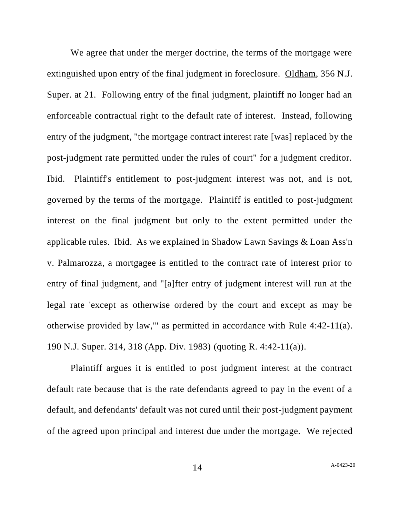We agree that under the merger doctrine, the terms of the mortgage were extinguished upon entry of the final judgment in foreclosure. Oldham, 356 N.J. Super. at 21. Following entry of the final judgment, plaintiff no longer had an enforceable contractual right to the default rate of interest. Instead, following entry of the judgment, "the mortgage contract interest rate [was] replaced by the post-judgment rate permitted under the rules of court" for a judgment creditor. Ibid. Plaintiff's entitlement to post-judgment interest was not, and is not, governed by the terms of the mortgage. Plaintiff is entitled to post-judgment interest on the final judgment but only to the extent permitted under the applicable rules. Ibid. As we explained in Shadow Lawn Savings & Loan Ass'n v. Palmarozza, a mortgagee is entitled to the contract rate of interest prior to entry of final judgment, and "[a]fter entry of judgment interest will run at the legal rate 'except as otherwise ordered by the court and except as may be otherwise provided by law,'" as permitted in accordance with Rule 4:42-11(a). 190 N.J. Super. 314, 318 (App. Div. 1983) (quoting R. 4:42-11(a)).

Plaintiff argues it is entitled to post judgment interest at the contract default rate because that is the rate defendants agreed to pay in the event of a default, and defendants' default was not cured until their post-judgment payment of the agreed upon principal and interest due under the mortgage. We rejected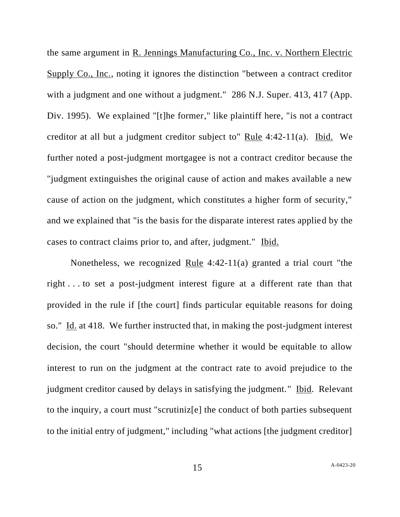the same argument in R. Jennings Manufacturing Co., Inc. v. Northern Electric Supply Co., Inc., noting it ignores the distinction "between a contract creditor with a judgment and one without a judgment." 286 N.J. Super. 413, 417 (App. Div. 1995). We explained "[t]he former," like plaintiff here, "is not a contract creditor at all but a judgment creditor subject to" Rule 4:42-11(a). Ibid. We further noted a post-judgment mortgagee is not a contract creditor because the "judgment extinguishes the original cause of action and makes available a new cause of action on the judgment, which constitutes a higher form of security," and we explained that "is the basis for the disparate interest rates applied by the cases to contract claims prior to, and after, judgment." Ibid.

Nonetheless, we recognized Rule 4:42-11(a) granted a trial court "the right . . . to set a post-judgment interest figure at a different rate than that provided in the rule if [the court] finds particular equitable reasons for doing so." Id. at 418. We further instructed that, in making the post-judgment interest decision, the court "should determine whether it would be equitable to allow interest to run on the judgment at the contract rate to avoid prejudice to the judgment creditor caused by delays in satisfying the judgment." Ibid. Relevant to the inquiry, a court must "scrutiniz[e] the conduct of both parties subsequent to the initial entry of judgment," including "what actions [the judgment creditor]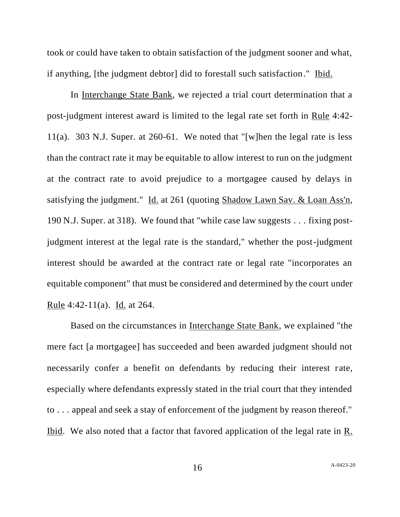took or could have taken to obtain satisfaction of the judgment sooner and what, if anything, [the judgment debtor] did to forestall such satisfaction." Ibid.

In Interchange State Bank, we rejected a trial court determination that a post-judgment interest award is limited to the legal rate set forth in Rule 4:42- 11(a). 303 N.J. Super. at 260-61. We noted that "[w]hen the legal rate is less than the contract rate it may be equitable to allow interest to run on the judgment at the contract rate to avoid prejudice to a mortgagee caused by delays in satisfying the judgment." Id. at 261 (quoting Shadow Lawn Sav. & Loan Ass'n, 190 N.J. Super. at 318). We found that "while case law suggests . . . fixing postjudgment interest at the legal rate is the standard," whether the post-judgment interest should be awarded at the contract rate or legal rate "incorporates an equitable component" that must be considered and determined by the court under Rule 4:42-11(a). Id. at 264.

Based on the circumstances in Interchange State Bank, we explained "the mere fact [a mortgagee] has succeeded and been awarded judgment should not necessarily confer a benefit on defendants by reducing their interest rate, especially where defendants expressly stated in the trial court that they intended to . . . appeal and seek a stay of enforcement of the judgment by reason thereof." Ibid. We also noted that a factor that favored application of the legal rate in R.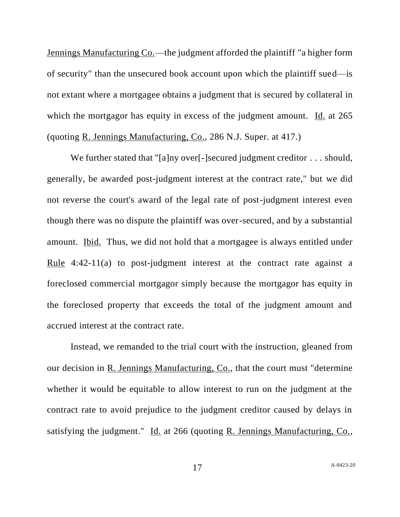Jennings Manufacturing Co.—the judgment afforded the plaintiff "a higher form of security" than the unsecured book account upon which the plaintiff sued—is not extant where a mortgagee obtains a judgment that is secured by collateral in which the mortgagor has equity in excess of the judgment amount. Id. at 265 (quoting R. Jennings Manufacturing, Co., 286 N.J. Super. at 417.)

We further stated that "[a]ny over[-]secured judgment creditor . . . should, generally, be awarded post-judgment interest at the contract rate," but we did not reverse the court's award of the legal rate of post-judgment interest even though there was no dispute the plaintiff was over-secured, and by a substantial amount. Ibid. Thus, we did not hold that a mortgagee is always entitled under Rule 4:42-11(a) to post-judgment interest at the contract rate against a foreclosed commercial mortgagor simply because the mortgagor has equity in the foreclosed property that exceeds the total of the judgment amount and accrued interest at the contract rate.

Instead, we remanded to the trial court with the instruction, gleaned from our decision in R. Jennings Manufacturing, Co., that the court must "determine whether it would be equitable to allow interest to run on the judgment at the contract rate to avoid prejudice to the judgment creditor caused by delays in satisfying the judgment." Id. at 266 (quoting R. Jennings Manufacturing, Co.,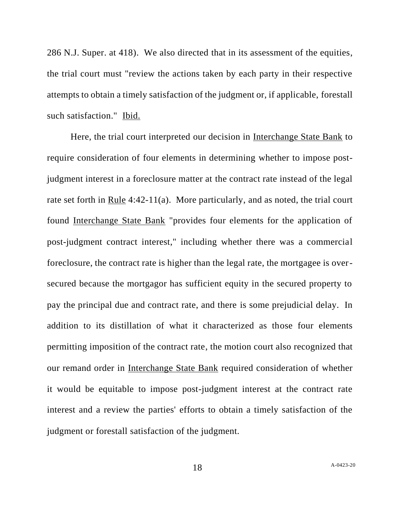286 N.J. Super. at 418). We also directed that in its assessment of the equities, the trial court must "review the actions taken by each party in their respective attempts to obtain a timely satisfaction of the judgment or, if applicable, forestall such satisfaction." Ibid.

Here, the trial court interpreted our decision in Interchange State Bank to require consideration of four elements in determining whether to impose postjudgment interest in a foreclosure matter at the contract rate instead of the legal rate set forth in Rule 4:42-11(a). More particularly, and as noted, the trial court found Interchange State Bank "provides four elements for the application of post-judgment contract interest," including whether there was a commercial foreclosure, the contract rate is higher than the legal rate, the mortgagee is oversecured because the mortgagor has sufficient equity in the secured property to pay the principal due and contract rate, and there is some prejudicial delay. In addition to its distillation of what it characterized as those four elements permitting imposition of the contract rate, the motion court also recognized that our remand order in Interchange State Bank required consideration of whether it would be equitable to impose post-judgment interest at the contract rate interest and a review the parties' efforts to obtain a timely satisfaction of the judgment or forestall satisfaction of the judgment.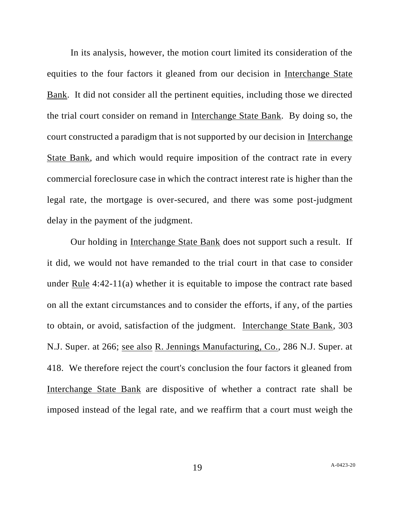In its analysis, however, the motion court limited its consideration of the equities to the four factors it gleaned from our decision in Interchange State Bank. It did not consider all the pertinent equities, including those we directed the trial court consider on remand in Interchange State Bank. By doing so, the court constructed a paradigm that is not supported by our decision in Interchange State Bank, and which would require imposition of the contract rate in every commercial foreclosure case in which the contract interest rate is higher than the legal rate, the mortgage is over-secured, and there was some post-judgment delay in the payment of the judgment.

Our holding in Interchange State Bank does not support such a result. If it did, we would not have remanded to the trial court in that case to consider under Rule 4:42-11(a) whether it is equitable to impose the contract rate based on all the extant circumstances and to consider the efforts, if any, of the parties to obtain, or avoid, satisfaction of the judgment. Interchange State Bank, 303 N.J. Super. at 266; see also R. Jennings Manufacturing, Co., 286 N.J. Super. at 418. We therefore reject the court's conclusion the four factors it gleaned from Interchange State Bank are dispositive of whether a contract rate shall be imposed instead of the legal rate, and we reaffirm that a court must weigh the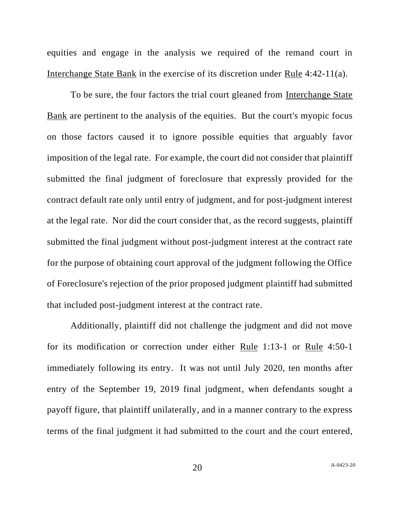equities and engage in the analysis we required of the remand court in Interchange State Bank in the exercise of its discretion under Rule 4:42-11(a).

To be sure, the four factors the trial court gleaned from Interchange State Bank are pertinent to the analysis of the equities. But the court's myopic focus on those factors caused it to ignore possible equities that arguably favor imposition of the legal rate. For example, the court did not consider that plaintiff submitted the final judgment of foreclosure that expressly provided for the contract default rate only until entry of judgment, and for post-judgment interest at the legal rate. Nor did the court consider that, as the record suggests, plaintiff submitted the final judgment without post-judgment interest at the contract rate for the purpose of obtaining court approval of the judgment following the Office of Foreclosure's rejection of the prior proposed judgment plaintiff had submitted that included post-judgment interest at the contract rate.

Additionally, plaintiff did not challenge the judgment and did not move for its modification or correction under either Rule 1:13-1 or Rule 4:50-1 immediately following its entry. It was not until July 2020, ten months after entry of the September 19, 2019 final judgment, when defendants sought a payoff figure, that plaintiff unilaterally, and in a manner contrary to the express terms of the final judgment it had submitted to the court and the court entered,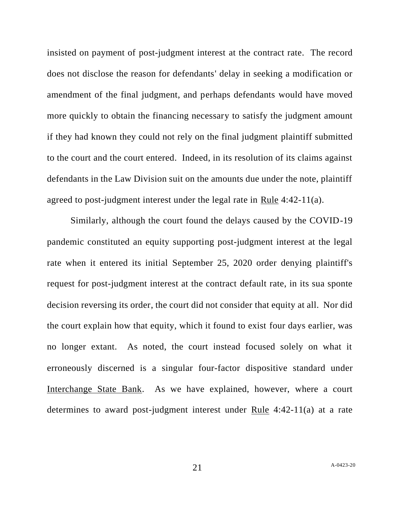insisted on payment of post-judgment interest at the contract rate. The record does not disclose the reason for defendants' delay in seeking a modification or amendment of the final judgment, and perhaps defendants would have moved more quickly to obtain the financing necessary to satisfy the judgment amount if they had known they could not rely on the final judgment plaintiff submitted to the court and the court entered. Indeed, in its resolution of its claims against defendants in the Law Division suit on the amounts due under the note, plaintiff agreed to post-judgment interest under the legal rate in Rule 4:42-11(a).

Similarly, although the court found the delays caused by the COVID-19 pandemic constituted an equity supporting post-judgment interest at the legal rate when it entered its initial September 25, 2020 order denying plaintiff's request for post-judgment interest at the contract default rate, in its sua sponte decision reversing its order, the court did not consider that equity at all. Nor did the court explain how that equity, which it found to exist four days earlier, was no longer extant. As noted, the court instead focused solely on what it erroneously discerned is a singular four-factor dispositive standard under Interchange State Bank. As we have explained, however, where a court determines to award post-judgment interest under Rule 4:42-11(a) at a rate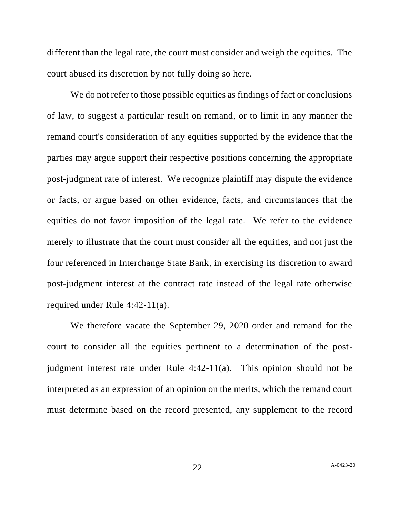different than the legal rate, the court must consider and weigh the equities. The court abused its discretion by not fully doing so here.

We do not refer to those possible equities as findings of fact or conclusions of law, to suggest a particular result on remand, or to limit in any manner the remand court's consideration of any equities supported by the evidence that the parties may argue support their respective positions concerning the appropriate post-judgment rate of interest. We recognize plaintiff may dispute the evidence or facts, or argue based on other evidence, facts, and circumstances that the equities do not favor imposition of the legal rate. We refer to the evidence merely to illustrate that the court must consider all the equities, and not just the four referenced in Interchange State Bank, in exercising its discretion to award post-judgment interest at the contract rate instead of the legal rate otherwise required under Rule 4:42-11(a).

We therefore vacate the September 29, 2020 order and remand for the court to consider all the equities pertinent to a determination of the postjudgment interest rate under Rule 4:42-11(a). This opinion should not be interpreted as an expression of an opinion on the merits, which the remand court must determine based on the record presented, any supplement to the record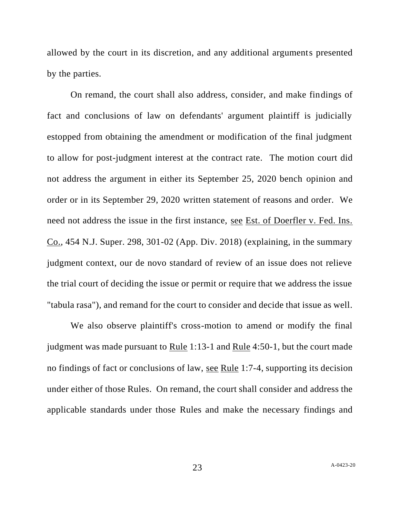allowed by the court in its discretion, and any additional arguments presented by the parties.

On remand, the court shall also address, consider, and make findings of fact and conclusions of law on defendants' argument plaintiff is judicially estopped from obtaining the amendment or modification of the final judgment to allow for post-judgment interest at the contract rate. The motion court did not address the argument in either its September 25, 2020 bench opinion and order or in its September 29, 2020 written statement of reasons and order. We need not address the issue in the first instance, see Est. of Doerfler v. Fed. Ins. Co., 454 N.J. Super. 298, 301-02 (App. Div. 2018) (explaining, in the summary judgment context, our de novo standard of review of an issue does not relieve the trial court of deciding the issue or permit or require that we address the issue "tabula rasa"), and remand for the court to consider and decide that issue as well.

We also observe plaintiff's cross-motion to amend or modify the final judgment was made pursuant to Rule 1:13-1 and Rule 4:50-1, but the court made no findings of fact or conclusions of law, see Rule 1:7-4, supporting its decision under either of those Rules. On remand, the court shall consider and address the applicable standards under those Rules and make the necessary findings and